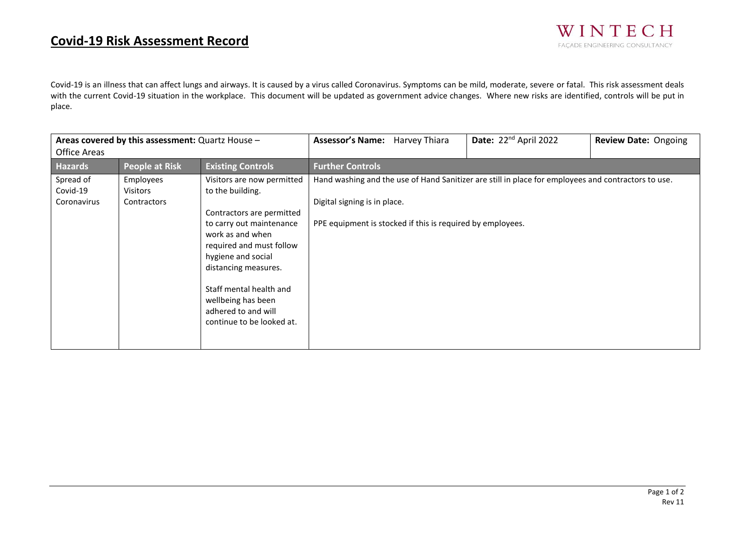## **Covid-19 Risk Assessment Record**

Covid-19 is an illness that can affect lungs and airways. It is caused by a virus called Coronavirus. Symptoms can be mild, moderate, severe or fatal. This risk assessment deals with the current Covid-19 situation in the workplace. This document will be updated as government advice changes. Where new risks are identified, controls will be put in place.

| Areas covered by this assessment: Quartz House - |                                      |                                                                                                                                                                                                                                                                                                            | <b>Assessor's Name:</b><br>Harvey Thiara                                                                                                                                                          | Date: 22 <sup>nd</sup> April 2022 | <b>Review Date: Ongoing</b> |  |
|--------------------------------------------------|--------------------------------------|------------------------------------------------------------------------------------------------------------------------------------------------------------------------------------------------------------------------------------------------------------------------------------------------------------|---------------------------------------------------------------------------------------------------------------------------------------------------------------------------------------------------|-----------------------------------|-----------------------------|--|
| <b>Office Areas</b>                              |                                      |                                                                                                                                                                                                                                                                                                            |                                                                                                                                                                                                   |                                   |                             |  |
| <b>Hazards</b>                                   | <b>People at Risk</b>                | <b>Existing Controls</b>                                                                                                                                                                                                                                                                                   | <b>Further Controls</b>                                                                                                                                                                           |                                   |                             |  |
| Spread of<br>Covid-19<br>Coronavirus             | Employees<br>Visitors<br>Contractors | Visitors are now permitted<br>to the building.<br>Contractors are permitted<br>to carry out maintenance<br>work as and when<br>required and must follow<br>hygiene and social<br>distancing measures.<br>Staff mental health and<br>wellbeing has been<br>adhered to and will<br>continue to be looked at. | Hand washing and the use of Hand Sanitizer are still in place for employees and contractors to use.<br>Digital signing is in place.<br>PPE equipment is stocked if this is required by employees. |                                   |                             |  |